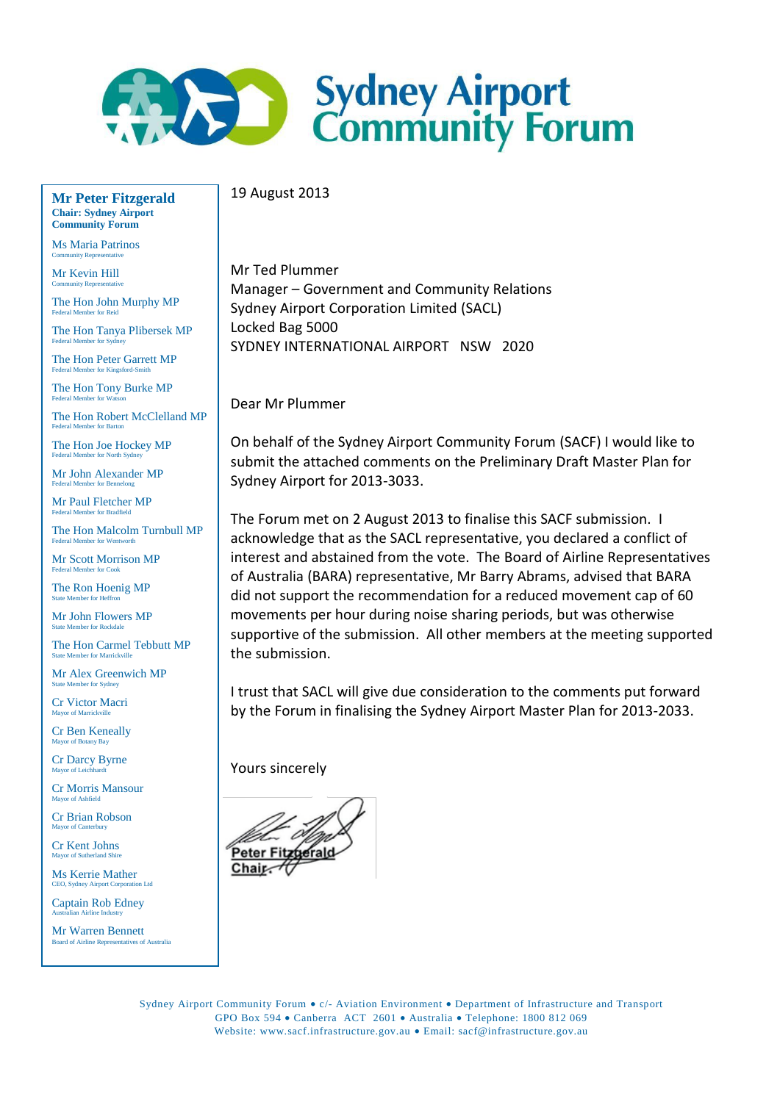

19 August 2013

**Mr Peter Fitzgerald Chair: Sydney Airport Community Forum**

Ms Maria Patrinos Community Representative

Mr Kevin Hill **Community Represent** 

The Hon John Murphy MP Federal Member for Reid

The Hon Tanya Plibersek MP Federal Member for Sydney

The Hon Peter Garrett MP Federal Member for Kingsford-Smith

The Hon Tony Burke MP Federal Member for Watson

The Hon Robert McClelland MP Federal Member for Barton

The Hon Joe Hockey MP Federal Member for North Sydney

Mr John Alexander MP Federal Member for Bennelong

Mr Paul Fletcher MP Federal Member for Bradfield

The Hon Malcolm Turnbull MP Federal Member for Wentworth

Mr Scott Morrison MP Federal Member for Cook

The Ron Hoenig MP State Member for Heffron

Mr John Flowers MP State Member for Rockdale

The Hon Carmel Tebbutt MP State Member for Marrickville

Mr Alex Greenwich MP State Member for Sydney

Cr Victor Macri Mayor of Marrickville

Cr Ben Keneally or of Botany Bay

Cr Darcy Byrne  $or$  of Lei

Cr Morris Mansour Mayor of Ashfield

Cr Brian Robson Mayor of Ca

Cr Kent Johns Mayor of Sutherland Shire

Ms Kerrie Mather<br>CEO, Sydney Airport Corporation Ltd CEO, Sydney Airport

Captain Rob Edney Australian Airline Industry

**Mr Warren Bennett**<br>Board of Airline Representatives of Australia ard of Airline Represent

Mr Ted Plummer Manager – Government and Community Relations Sydney Airport Corporation Limited (SACL) Locked Bag 5000 SYDNEY INTERNATIONAL AIRPORT NSW 2020

Dear Mr Plummer

On behalf of the Sydney Airport Community Forum (SACF) I would like to submit the attached comments on the Preliminary Draft Master Plan for Sydney Airport for 2013-3033.

The Forum met on 2 August 2013 to finalise this SACF submission. I acknowledge that as the SACL representative, you declared a conflict of interest and abstained from the vote. The Board of Airline Representatives of Australia (BARA) representative, Mr Barry Abrams, advised that BARA did not support the recommendation for a reduced movement cap of 60 movements per hour during noise sharing periods, but was otherwise supportive of the submission. All other members at the meeting supported the submission.

I trust that SACL will give due consideration to the comments put forward by the Forum in finalising the Sydney Airport Master Plan for 2013-2033.

Yours sincerely

Chair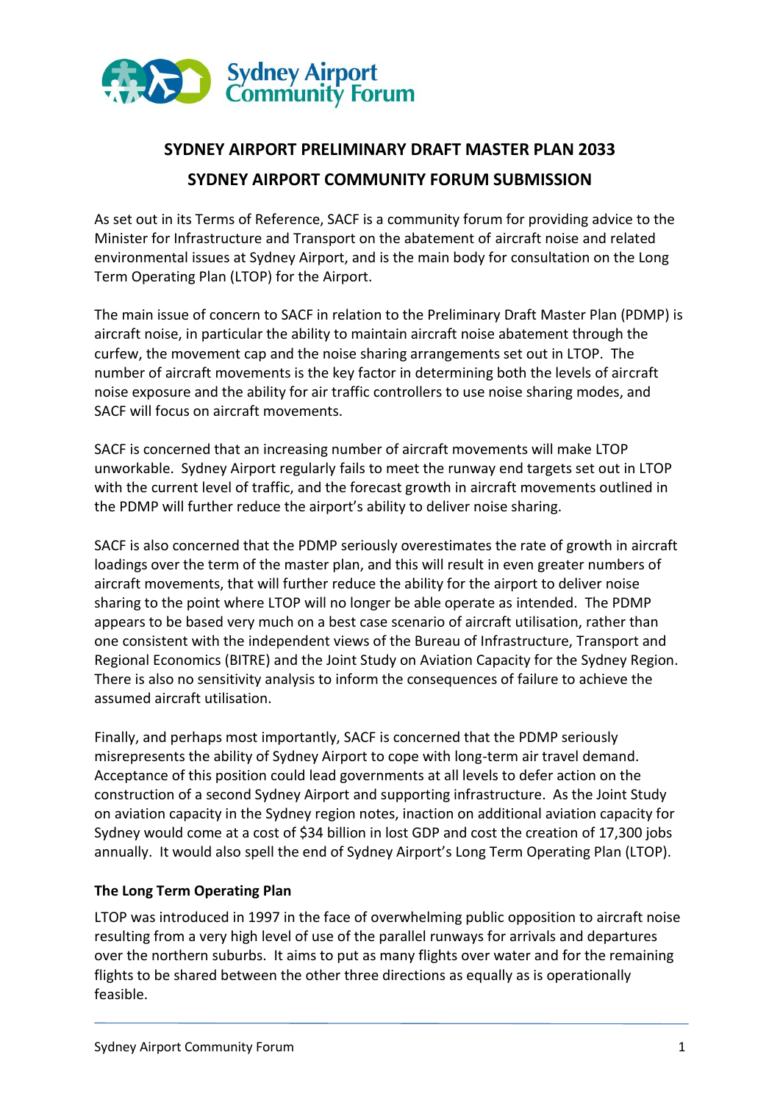

# **SYDNEY AIRPORT PRELIMINARY DRAFT MASTER PLAN 2033 SYDNEY AIRPORT COMMUNITY FORUM SUBMISSION**

As set out in its Terms of Reference, SACF is a community forum for providing advice to the Minister for Infrastructure and Transport on the abatement of aircraft noise and related environmental issues at Sydney Airport, and is the main body for consultation on the Long Term Operating Plan (LTOP) for the Airport.

The main issue of concern to SACF in relation to the Preliminary Draft Master Plan (PDMP) is aircraft noise, in particular the ability to maintain aircraft noise abatement through the curfew, the movement cap and the noise sharing arrangements set out in LTOP. The number of aircraft movements is the key factor in determining both the levels of aircraft noise exposure and the ability for air traffic controllers to use noise sharing modes, and SACF will focus on aircraft movements.

SACF is concerned that an increasing number of aircraft movements will make LTOP unworkable. Sydney Airport regularly fails to meet the runway end targets set out in LTOP with the current level of traffic, and the forecast growth in aircraft movements outlined in the PDMP will further reduce the airport's ability to deliver noise sharing.

SACF is also concerned that the PDMP seriously overestimates the rate of growth in aircraft loadings over the term of the master plan, and this will result in even greater numbers of aircraft movements, that will further reduce the ability for the airport to deliver noise sharing to the point where LTOP will no longer be able operate as intended. The PDMP appears to be based very much on a best case scenario of aircraft utilisation, rather than one consistent with the independent views of the Bureau of Infrastructure, Transport and Regional Economics (BITRE) and the Joint Study on Aviation Capacity for the Sydney Region. There is also no sensitivity analysis to inform the consequences of failure to achieve the assumed aircraft utilisation.

Finally, and perhaps most importantly, SACF is concerned that the PDMP seriously misrepresents the ability of Sydney Airport to cope with long-term air travel demand. Acceptance of this position could lead governments at all levels to defer action on the construction of a second Sydney Airport and supporting infrastructure. As the Joint Study on aviation capacity in the Sydney region notes, inaction on additional aviation capacity for Sydney would come at a cost of \$34 billion in lost GDP and cost the creation of 17,300 jobs annually. It would also spell the end of Sydney Airport's Long Term Operating Plan (LTOP).

### **The Long Term Operating Plan**

LTOP was introduced in 1997 in the face of overwhelming public opposition to aircraft noise resulting from a very high level of use of the parallel runways for arrivals and departures over the northern suburbs. It aims to put as many flights over water and for the remaining flights to be shared between the other three directions as equally as is operationally feasible.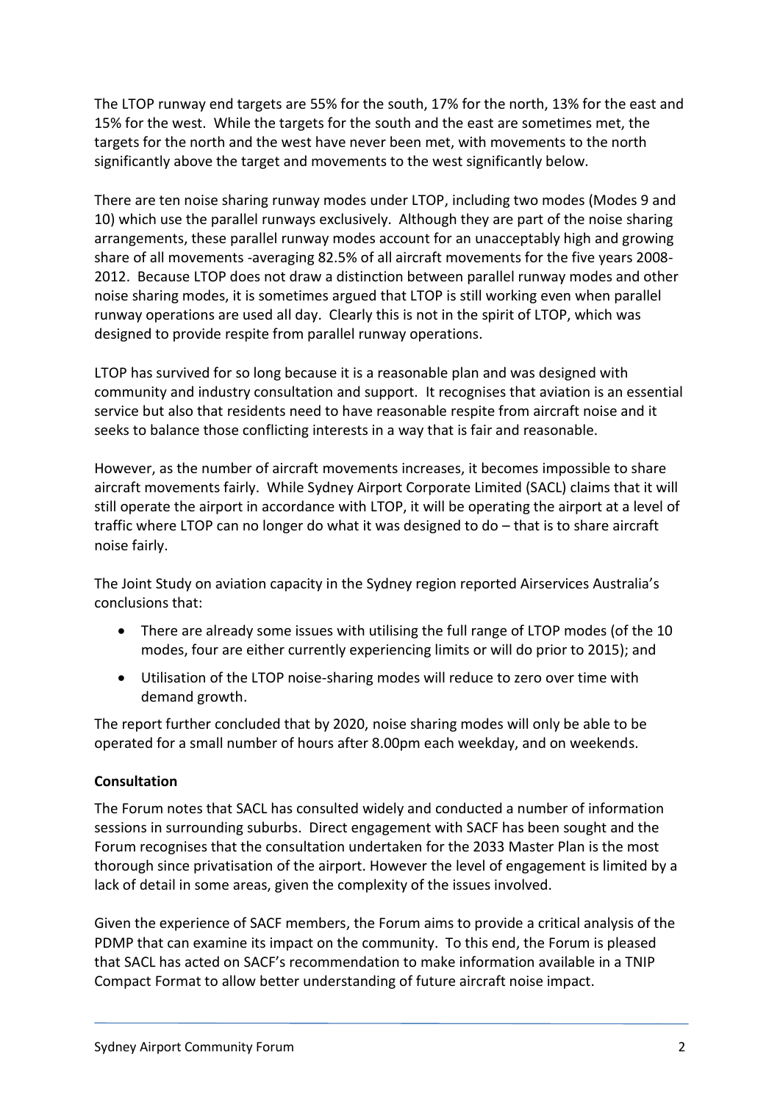The LTOP runway end targets are 55% for the south, 17% for the north, 13% for the east and 15% for the west. While the targets for the south and the east are sometimes met, the targets for the north and the west have never been met, with movements to the north significantly above the target and movements to the west significantly below.

There are ten noise sharing runway modes under LTOP, including two modes (Modes 9 and 10) which use the parallel runways exclusively. Although they are part of the noise sharing arrangements, these parallel runway modes account for an unacceptably high and growing share of all movements -averaging 82.5% of all aircraft movements for the five years 2008- 2012. Because LTOP does not draw a distinction between parallel runway modes and other noise sharing modes, it is sometimes argued that LTOP is still working even when parallel runway operations are used all day. Clearly this is not in the spirit of LTOP, which was designed to provide respite from parallel runway operations.

LTOP has survived for so long because it is a reasonable plan and was designed with community and industry consultation and support. It recognises that aviation is an essential service but also that residents need to have reasonable respite from aircraft noise and it seeks to balance those conflicting interests in a way that is fair and reasonable.

However, as the number of aircraft movements increases, it becomes impossible to share aircraft movements fairly. While Sydney Airport Corporate Limited (SACL) claims that it will still operate the airport in accordance with LTOP, it will be operating the airport at a level of traffic where LTOP can no longer do what it was designed to do – that is to share aircraft noise fairly.

The Joint Study on aviation capacity in the Sydney region reported Airservices Australia's conclusions that:

- There are already some issues with utilising the full range of LTOP modes (of the 10 modes, four are either currently experiencing limits or will do prior to 2015); and
- Utilisation of the LTOP noise-sharing modes will reduce to zero over time with demand growth.

The report further concluded that by 2020, noise sharing modes will only be able to be operated for a small number of hours after 8.00pm each weekday, and on weekends.

### **Consultation**

The Forum notes that SACL has consulted widely and conducted a number of information sessions in surrounding suburbs. Direct engagement with SACF has been sought and the Forum recognises that the consultation undertaken for the 2033 Master Plan is the most thorough since privatisation of the airport. However the level of engagement is limited by a lack of detail in some areas, given the complexity of the issues involved.

Given the experience of SACF members, the Forum aims to provide a critical analysis of the PDMP that can examine its impact on the community. To this end, the Forum is pleased that SACL has acted on SACF's recommendation to make information available in a TNIP Compact Format to allow better understanding of future aircraft noise impact.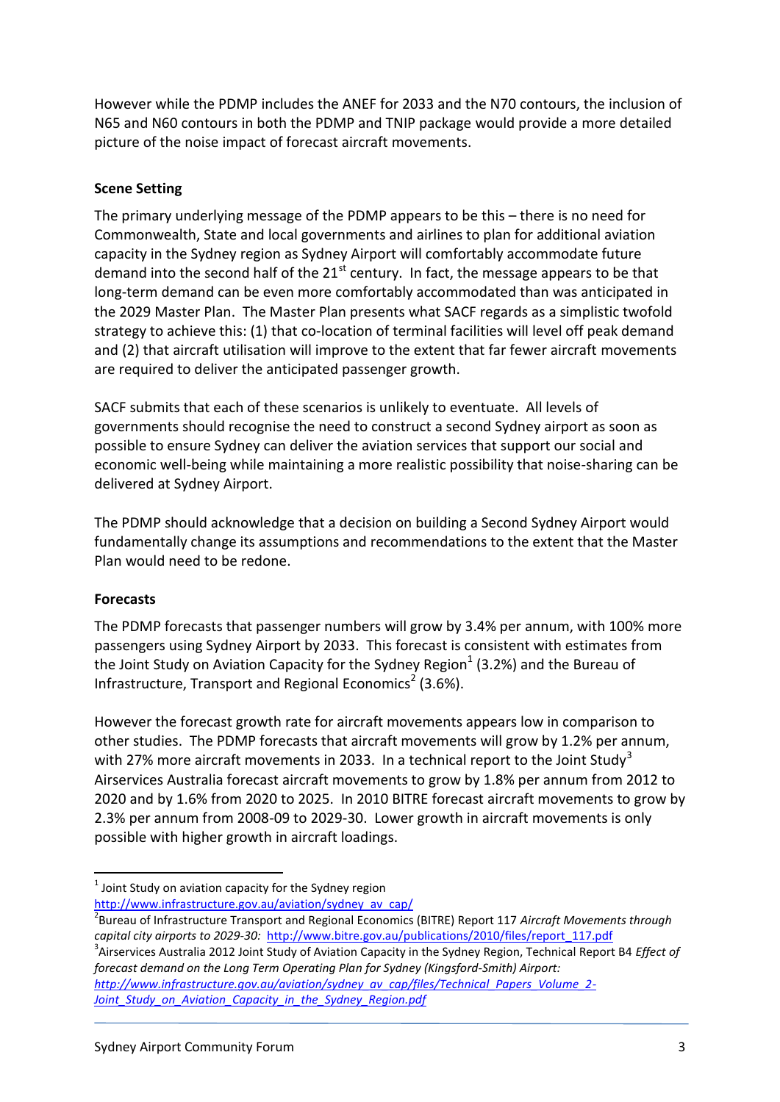However while the PDMP includes the ANEF for 2033 and the N70 contours, the inclusion of N65 and N60 contours in both the PDMP and TNIP package would provide a more detailed picture of the noise impact of forecast aircraft movements.

## **Scene Setting**

The primary underlying message of the PDMP appears to be this – there is no need for Commonwealth, State and local governments and airlines to plan for additional aviation capacity in the Sydney region as Sydney Airport will comfortably accommodate future demand into the second half of the  $21<sup>st</sup>$  century. In fact, the message appears to be that long-term demand can be even more comfortably accommodated than was anticipated in the 2029 Master Plan. The Master Plan presents what SACF regards as a simplistic twofold strategy to achieve this: (1) that co-location of terminal facilities will level off peak demand and (2) that aircraft utilisation will improve to the extent that far fewer aircraft movements are required to deliver the anticipated passenger growth.

SACF submits that each of these scenarios is unlikely to eventuate. All levels of governments should recognise the need to construct a second Sydney airport as soon as possible to ensure Sydney can deliver the aviation services that support our social and economic well-being while maintaining a more realistic possibility that noise-sharing can be delivered at Sydney Airport.

The PDMP should acknowledge that a decision on building a Second Sydney Airport would fundamentally change its assumptions and recommendations to the extent that the Master Plan would need to be redone.

# **Forecasts**

**.** 

The PDMP forecasts that passenger numbers will grow by 3.4% per annum, with 100% more passengers using Sydney Airport by 2033. This forecast is consistent with estimates from the Joint Study on Aviation Capacity for the Sydney Region $^1$  (3.2%) and the Bureau of Infrastructure, Transport and Regional Economics<sup>2</sup> (3.6%).

However the forecast growth rate for aircraft movements appears low in comparison to other studies. The PDMP forecasts that aircraft movements will grow by 1.2% per annum, with 27% more aircraft movements in 2033. In a technical report to the Joint Study<sup>3</sup> Airservices Australia forecast aircraft movements to grow by 1.8% per annum from 2012 to 2020 and by 1.6% from 2020 to 2025. In 2010 BITRE forecast aircraft movements to grow by 2.3% per annum from 2008-09 to 2029-30. Lower growth in aircraft movements is only possible with higher growth in aircraft loadings.

 $<sup>1</sup>$  Joint Study on aviation capacity for the Sydney region</sup>

[http://www.infrastructure.gov.au/aviation/sydney\\_av\\_cap/](http://www.infrastructure.gov.au/aviation/sydney_av_cap/) 2 Bureau of Infrastructure Transport and Regional Economics (BITRE) Report 117 *Aircraft Movements through capital city airports to 2029-30:* [http://www.bitre.gov.au/publications/2010/files/report\\_117.pdf](http://www.bitre.gov.au/publications/2010/files/report_117.pdf)

3 Airservices Australia 2012 Joint Study of Aviation Capacity in the Sydney Region, Technical Report B4 *Effect of forecast demand on the Long Term Operating Plan for Sydney (Kingsford-Smith) Airport:* 

*[http://www.infrastructure.gov.au/aviation/sydney\\_av\\_cap/files/Technical\\_Papers\\_Volume\\_2-](http://www.infrastructure.gov.au/aviation/sydney_av_cap/files/Technical_Papers_Volume_2-Joint_Study_on_Aviation_Capacity_in_the_Sydney_Region.pdf) [Joint\\_Study\\_on\\_Aviation\\_Capacity\\_in\\_the\\_Sydney\\_Region.pdf](http://www.infrastructure.gov.au/aviation/sydney_av_cap/files/Technical_Papers_Volume_2-Joint_Study_on_Aviation_Capacity_in_the_Sydney_Region.pdf)*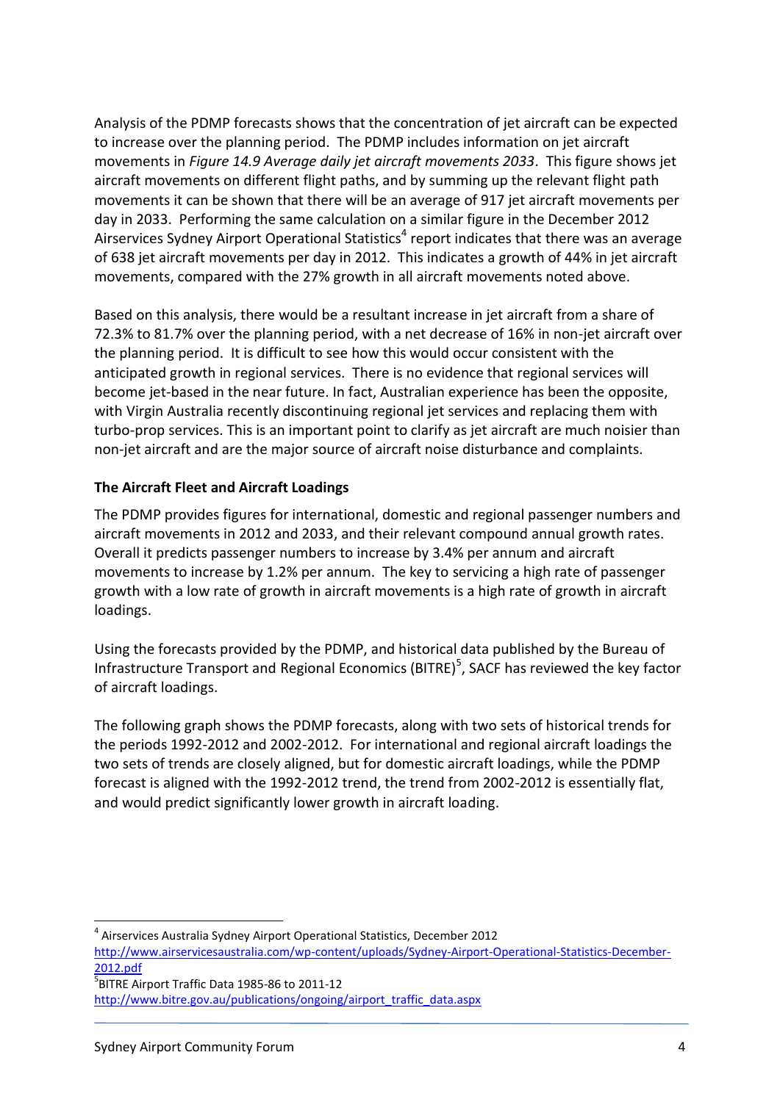Analysis of the PDMP forecasts shows that the concentration of jet aircraft can be expected to increase over the planning period. The PDMP includes information on jet aircraft movements in *Figure 14.9 Average daily jet aircraft movements 2033*. This figure shows jet aircraft movements on different flight paths, and by summing up the relevant flight path movements it can be shown that there will be an average of 917 jet aircraft movements per day in 2033. Performing the same calculation on a similar figure in the December 2012 Airservices Sydney Airport Operational Statistics<sup>4</sup> report indicates that there was an average of 638 jet aircraft movements per day in 2012. This indicates a growth of 44% in jet aircraft movements, compared with the 27% growth in all aircraft movements noted above.

Based on this analysis, there would be a resultant increase in jet aircraft from a share of 72.3% to 81.7% over the planning period, with a net decrease of 16% in non-jet aircraft over the planning period. It is difficult to see how this would occur consistent with the anticipated growth in regional services. There is no evidence that regional services will become jet-based in the near future. In fact, Australian experience has been the opposite, with Virgin Australia recently discontinuing regional jet services and replacing them with turbo-prop services. This is an important point to clarify as jet aircraft are much noisier than non-jet aircraft and are the major source of aircraft noise disturbance and complaints.

### **The Aircraft Fleet and Aircraft Loadings**

The PDMP provides figures for international, domestic and regional passenger numbers and aircraft movements in 2012 and 2033, and their relevant compound annual growth rates. Overall it predicts passenger numbers to increase by 3.4% per annum and aircraft movements to increase by 1.2% per annum. The key to servicing a high rate of passenger growth with a low rate of growth in aircraft movements is a high rate of growth in aircraft loadings.

Using the forecasts provided by the PDMP, and historical data published by the Bureau of Infrastructure Transport and Regional Economics (BITRE)<sup>5</sup>, SACF has reviewed the key factor of aircraft loadings.

The following graph shows the PDMP forecasts, along with two sets of historical trends for the periods 1992-2012 and 2002-2012. For international and regional aircraft loadings the two sets of trends are closely aligned, but for domestic aircraft loadings, while the PDMP forecast is aligned with the 1992-2012 trend, the trend from 2002-2012 is essentially flat, and would predict significantly lower growth in aircraft loading.

 $\overline{a}$ 

<sup>4</sup> Airservices Australia Sydney Airport Operational Statistics, December 2012 [http://www.airservicesaustralia.com/wp-content/uploads/Sydney-Airport-Operational-Statistics-December-](http://www.airservicesaustralia.com/wp-content/uploads/Sydney-Airport-Operational-Statistics-December-2012.pdf)[2012.pdf](http://www.airservicesaustralia.com/wp-content/uploads/Sydney-Airport-Operational-Statistics-December-2012.pdf) 5 BITRE Airport Traffic Data 1985-86 to 2011-12 [http://www.bitre.gov.au/publications/ongoing/airport\\_traffic\\_data.aspx](http://www.bitre.gov.au/publications/ongoing/airport_traffic_data.aspx)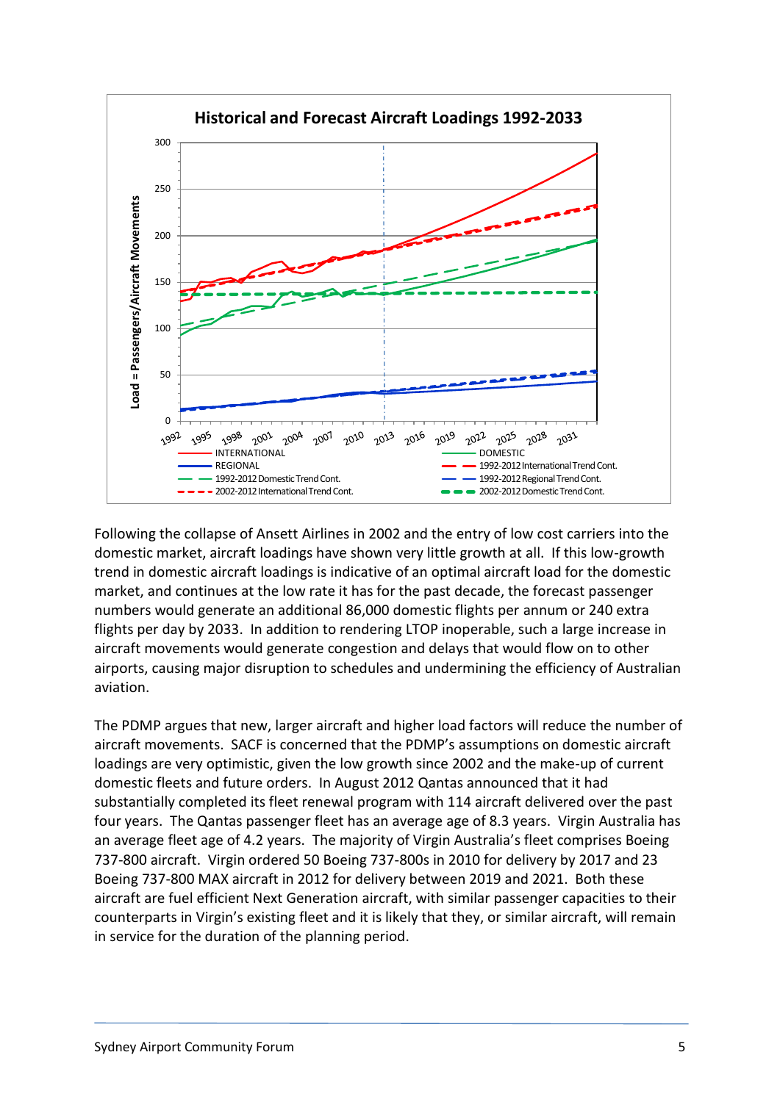

Following the collapse of Ansett Airlines in 2002 and the entry of low cost carriers into the domestic market, aircraft loadings have shown very little growth at all. If this low-growth trend in domestic aircraft loadings is indicative of an optimal aircraft load for the domestic market, and continues at the low rate it has for the past decade, the forecast passenger numbers would generate an additional 86,000 domestic flights per annum or 240 extra flights per day by 2033. In addition to rendering LTOP inoperable, such a large increase in aircraft movements would generate congestion and delays that would flow on to other airports, causing major disruption to schedules and undermining the efficiency of Australian aviation.

The PDMP argues that new, larger aircraft and higher load factors will reduce the number of aircraft movements. SACF is concerned that the PDMP's assumptions on domestic aircraft loadings are very optimistic, given the low growth since 2002 and the make-up of current domestic fleets and future orders. In August 2012 Qantas announced that it had substantially completed its fleet renewal program with 114 aircraft delivered over the past four years. The Qantas passenger fleet has an average age of 8.3 years. Virgin Australia has an average fleet age of 4.2 years. The majority of Virgin Australia's fleet comprises Boeing 737-800 aircraft. Virgin ordered 50 Boeing 737-800s in 2010 for delivery by 2017 and 23 Boeing 737-800 MAX aircraft in 2012 for delivery between 2019 and 2021. Both these aircraft are fuel efficient Next Generation aircraft, with similar passenger capacities to their counterparts in Virgin's existing fleet and it is likely that they, or similar aircraft, will remain in service for the duration of the planning period.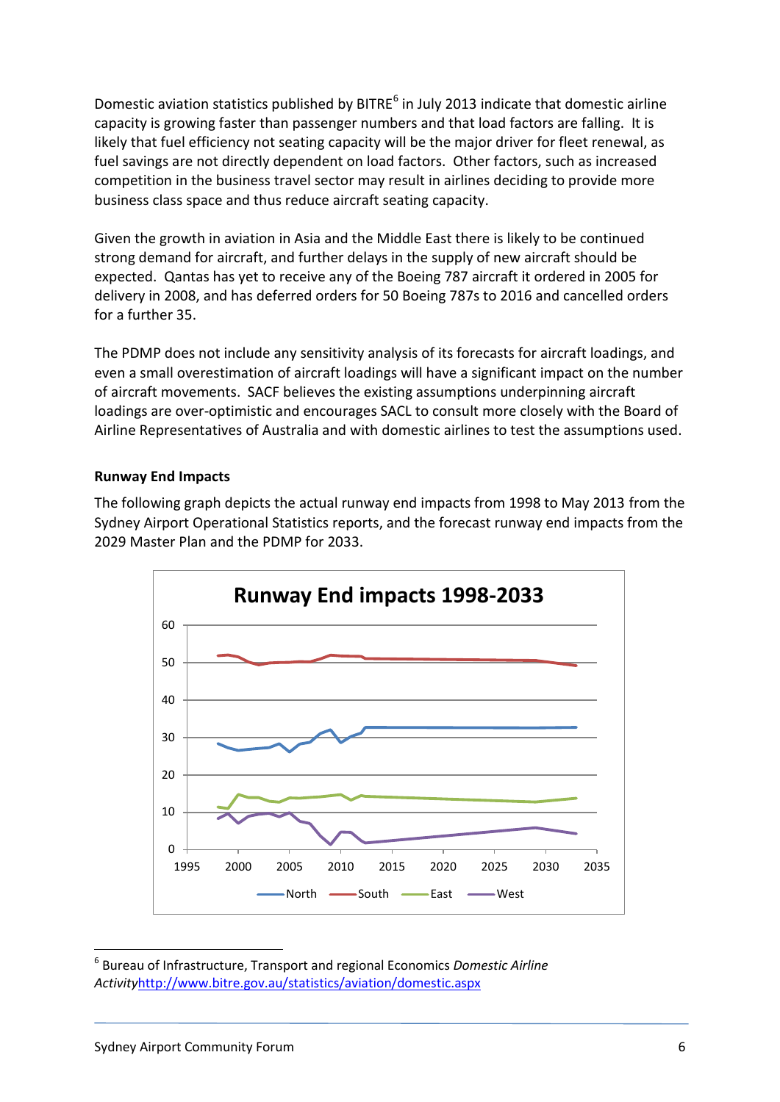Domestic aviation statistics published by BITRE<sup>6</sup> in July 2013 indicate that domestic airline capacity is growing faster than passenger numbers and that load factors are falling. It is likely that fuel efficiency not seating capacity will be the major driver for fleet renewal, as fuel savings are not directly dependent on load factors. Other factors, such as increased competition in the business travel sector may result in airlines deciding to provide more business class space and thus reduce aircraft seating capacity.

Given the growth in aviation in Asia and the Middle East there is likely to be continued strong demand for aircraft, and further delays in the supply of new aircraft should be expected. Qantas has yet to receive any of the Boeing 787 aircraft it ordered in 2005 for delivery in 2008, and has deferred orders for 50 Boeing 787s to 2016 and cancelled orders for a further 35.

The PDMP does not include any sensitivity analysis of its forecasts for aircraft loadings, and even a small overestimation of aircraft loadings will have a significant impact on the number of aircraft movements. SACF believes the existing assumptions underpinning aircraft loadings are over-optimistic and encourages SACL to consult more closely with the Board of Airline Representatives of Australia and with domestic airlines to test the assumptions used.

#### **Runway End Impacts**

The following graph depicts the actual runway end impacts from 1998 to May 2013 from the Sydney Airport Operational Statistics reports, and the forecast runway end impacts from the 2029 Master Plan and the PDMP for 2033.



<sup>6</sup> Bureau of Infrastructure, Transport and regional Economics *Domestic Airline Activity*<http://www.bitre.gov.au/statistics/aviation/domestic.aspx>

**.**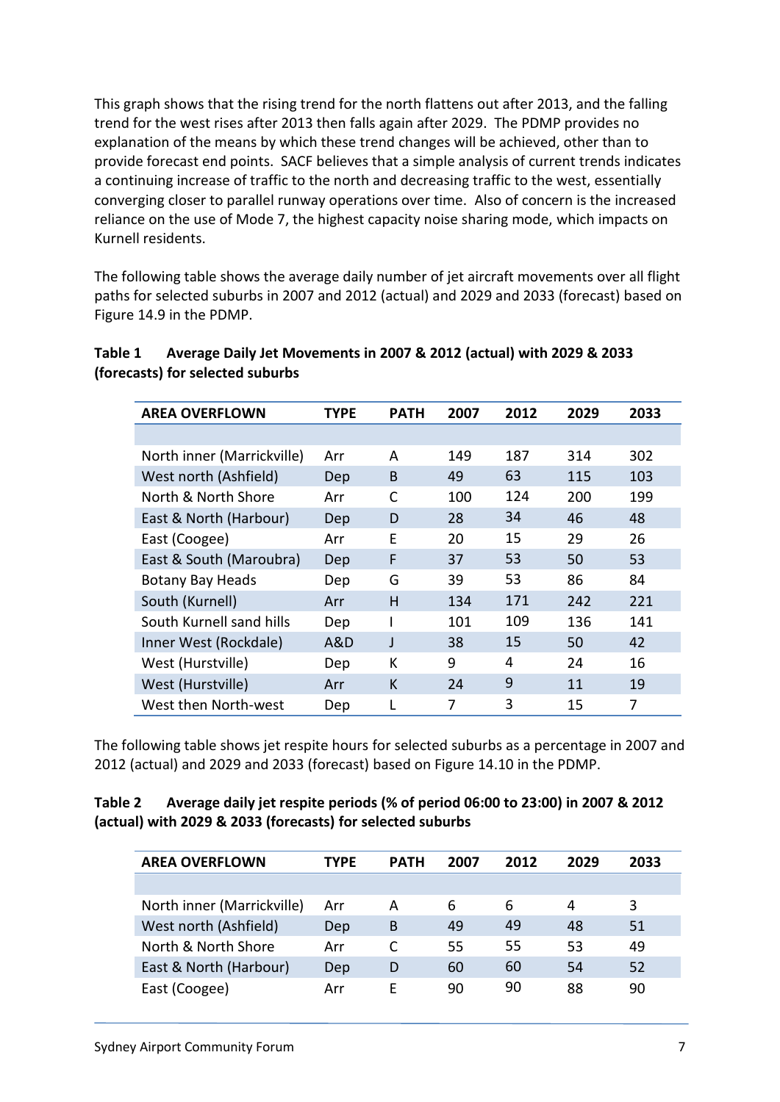This graph shows that the rising trend for the north flattens out after 2013, and the falling trend for the west rises after 2013 then falls again after 2029. The PDMP provides no explanation of the means by which these trend changes will be achieved, other than to provide forecast end points. SACF believes that a simple analysis of current trends indicates a continuing increase of traffic to the north and decreasing traffic to the west, essentially converging closer to parallel runway operations over time. Also of concern is the increased reliance on the use of Mode 7, the highest capacity noise sharing mode, which impacts on Kurnell residents.

The following table shows the average daily number of jet aircraft movements over all flight paths for selected suburbs in 2007 and 2012 (actual) and 2029 and 2033 (forecast) based on Figure 14.9 in the PDMP.

| <b>AREA OVERFLOWN</b>      | <b>TYPE</b> | <b>PATH</b>  | 2007 | 2012 | 2029 | 2033 |
|----------------------------|-------------|--------------|------|------|------|------|
|                            |             |              |      |      |      |      |
| North inner (Marrickville) | Arr         | A            | 149  | 187  | 314  | 302  |
| West north (Ashfield)      | Dep         | <sub>B</sub> | 49   | 63   | 115  | 103  |
| North & North Shore        | Arr         | C            | 100  | 124  | 200  | 199  |
| East & North (Harbour)     | Dep         | D            | 28   | 34   | 46   | 48   |
| East (Coogee)              | Arr         | F            | 20   | 15   | 29   | 26   |
| East & South (Maroubra)    | Dep         | F            | 37   | 53   | 50   | 53   |
| <b>Botany Bay Heads</b>    | Dep         | G            | 39   | 53   | 86   | 84   |
| South (Kurnell)            | Arr         | H            | 134  | 171  | 242  | 221  |
| South Kurnell sand hills   | Dep         |              | 101  | 109  | 136  | 141  |
| Inner West (Rockdale)      | A&D         | J            | 38   | 15   | 50   | 42   |
| West (Hurstville)          | Dep         | К            | 9    | 4    | 24   | 16   |
| West (Hurstville)          | Arr         | K            | 24   | 9    | 11   | 19   |
| West then North-west       | Dep         |              | 7    | 3    | 15   | 7    |

| Table 1 | Average Daily Jet Movements in 2007 & 2012 (actual) with 2029 & 2033 |
|---------|----------------------------------------------------------------------|
|         | (forecasts) for selected suburbs                                     |

The following table shows jet respite hours for selected suburbs as a percentage in 2007 and 2012 (actual) and 2029 and 2033 (forecast) based on Figure 14.10 in the PDMP.

| Table 2 | Average daily jet respite periods (% of period 06:00 to 23:00) in 2007 & 2012 |
|---------|-------------------------------------------------------------------------------|
|         | (actual) with 2029 & 2033 (forecasts) for selected suburbs                    |

| <b>AREA OVERFLOWN</b>      | TYPE | <b>PATH</b> | 2007 | 2012 | 2029 | 2033 |
|----------------------------|------|-------------|------|------|------|------|
|                            |      |             |      |      |      |      |
| North inner (Marrickville) | Arr  | А           | 6    | 6    | 4    | 3    |
| West north (Ashfield)      | Dep  | B           | 49   | 49   | 48   | 51   |
| North & North Shore        | Arr  |             | 55   | 55   | 53   | 49   |
| East & North (Harbour)     | Dep  | D           | 60   | 60   | 54   | 52   |
| East (Coogee)              | Arr  | F           | 90   | 90   | 88   | 90   |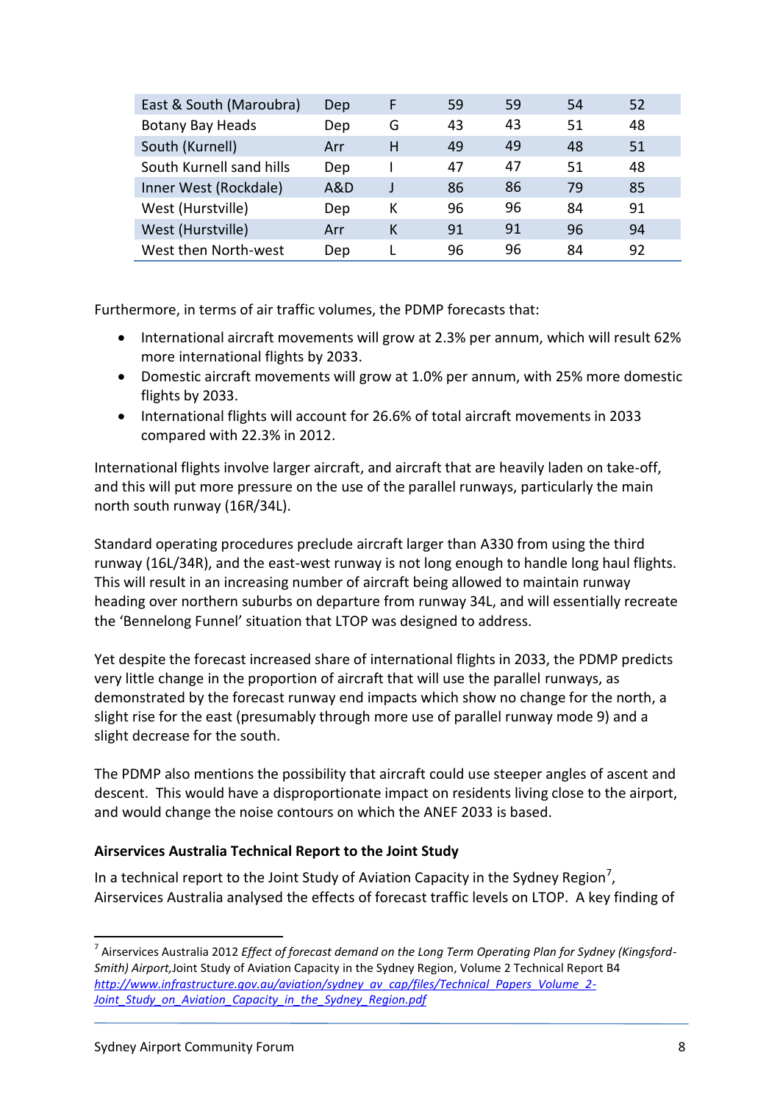| East & South (Maroubra)  | Dep | F | 59 | 59 | 54 | 52 |
|--------------------------|-----|---|----|----|----|----|
| <b>Botany Bay Heads</b>  | Dep | G | 43 | 43 | 51 | 48 |
| South (Kurnell)          | Arr | н | 49 | 49 | 48 | 51 |
| South Kurnell sand hills | Dep |   | 47 | 47 | 51 | 48 |
| Inner West (Rockdale)    | A&D |   | 86 | 86 | 79 | 85 |
| West (Hurstville)        | Dep | К | 96 | 96 | 84 | 91 |
| West (Hurstville)        | Arr | К | 91 | 91 | 96 | 94 |
| West then North-west     | Dep |   | 96 | 96 | 84 | 92 |

Furthermore, in terms of air traffic volumes, the PDMP forecasts that:

- International aircraft movements will grow at 2.3% per annum, which will result 62% more international flights by 2033.
- Domestic aircraft movements will grow at 1.0% per annum, with 25% more domestic flights by 2033.
- International flights will account for 26.6% of total aircraft movements in 2033 compared with 22.3% in 2012.

International flights involve larger aircraft, and aircraft that are heavily laden on take-off, and this will put more pressure on the use of the parallel runways, particularly the main north south runway (16R/34L).

Standard operating procedures preclude aircraft larger than A330 from using the third runway (16L/34R), and the east-west runway is not long enough to handle long haul flights. This will result in an increasing number of aircraft being allowed to maintain runway heading over northern suburbs on departure from runway 34L, and will essentially recreate the 'Bennelong Funnel' situation that LTOP was designed to address.

Yet despite the forecast increased share of international flights in 2033, the PDMP predicts very little change in the proportion of aircraft that will use the parallel runways, as demonstrated by the forecast runway end impacts which show no change for the north, a slight rise for the east (presumably through more use of parallel runway mode 9) and a slight decrease for the south.

The PDMP also mentions the possibility that aircraft could use steeper angles of ascent and descent. This would have a disproportionate impact on residents living close to the airport, and would change the noise contours on which the ANEF 2033 is based.

### **Airservices Australia Technical Report to the Joint Study**

In a technical report to the Joint Study of Aviation Capacity in the Sydney Region<sup>7</sup>, Airservices Australia analysed the effects of forecast traffic levels on LTOP. A key finding of

**.** 

<sup>7</sup> Airservices Australia 2012 *Effect of forecast demand on the Long Term Operating Plan for Sydney (Kingsford-Smith) Airport,*Joint Study of Aviation Capacity in the Sydney Region, Volume 2 Technical Report B4 *[http://www.infrastructure.gov.au/aviation/sydney\\_av\\_cap/files/Technical\\_Papers\\_Volume\\_2-](http://www.infrastructure.gov.au/aviation/sydney_av_cap/files/Technical_Papers_Volume_2-Joint_Study_on_Aviation_Capacity_in_the_Sydney_Region.pdf) [Joint\\_Study\\_on\\_Aviation\\_Capacity\\_in\\_the\\_Sydney\\_Region.pdf](http://www.infrastructure.gov.au/aviation/sydney_av_cap/files/Technical_Papers_Volume_2-Joint_Study_on_Aviation_Capacity_in_the_Sydney_Region.pdf)*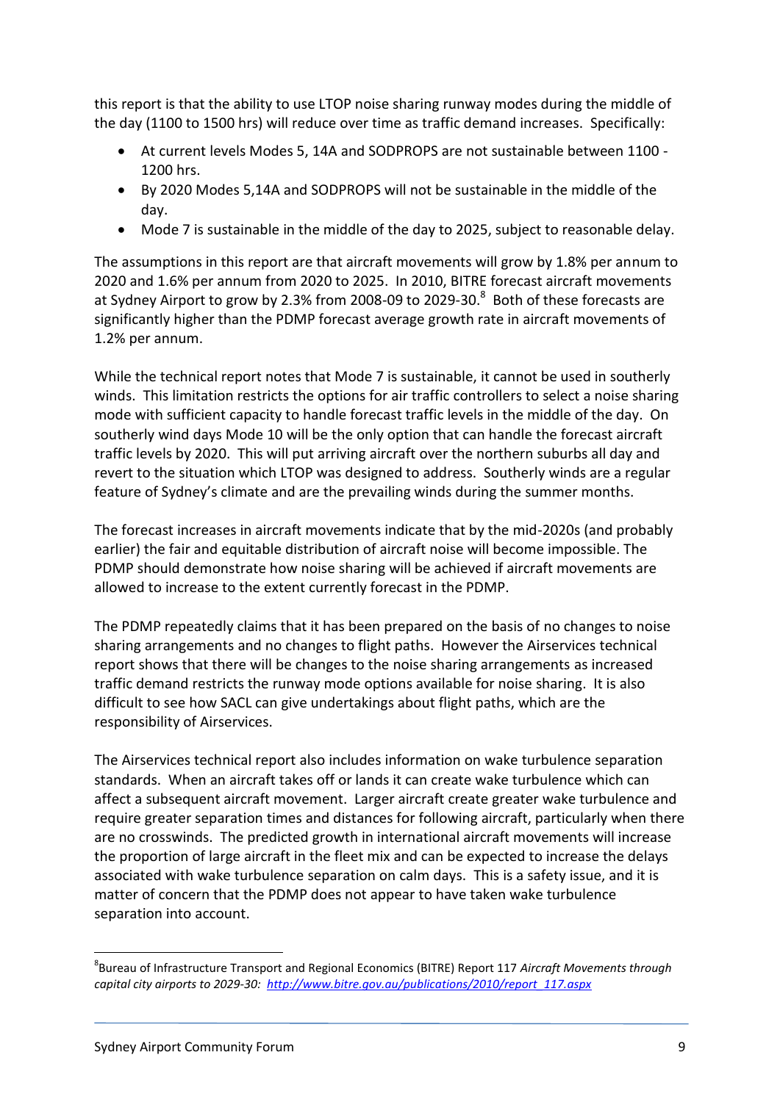this report is that the ability to use LTOP noise sharing runway modes during the middle of the day (1100 to 1500 hrs) will reduce over time as traffic demand increases. Specifically:

- At current levels Modes 5, 14A and SODPROPS are not sustainable between 1100 1200 hrs.
- By 2020 Modes 5,14A and SODPROPS will not be sustainable in the middle of the day.
- Mode 7 is sustainable in the middle of the day to 2025, subject to reasonable delay.

The assumptions in this report are that aircraft movements will grow by 1.8% per annum to 2020 and 1.6% per annum from 2020 to 2025. In 2010, BITRE forecast aircraft movements at Sydney Airport to grow by 2.3% from 2008-09 to 2029-30. $^8$  Both of these forecasts are significantly higher than the PDMP forecast average growth rate in aircraft movements of 1.2% per annum.

While the technical report notes that Mode 7 is sustainable, it cannot be used in southerly winds. This limitation restricts the options for air traffic controllers to select a noise sharing mode with sufficient capacity to handle forecast traffic levels in the middle of the day. On southerly wind days Mode 10 will be the only option that can handle the forecast aircraft traffic levels by 2020. This will put arriving aircraft over the northern suburbs all day and revert to the situation which LTOP was designed to address. Southerly winds are a regular feature of Sydney's climate and are the prevailing winds during the summer months.

The forecast increases in aircraft movements indicate that by the mid-2020s (and probably earlier) the fair and equitable distribution of aircraft noise will become impossible. The PDMP should demonstrate how noise sharing will be achieved if aircraft movements are allowed to increase to the extent currently forecast in the PDMP.

The PDMP repeatedly claims that it has been prepared on the basis of no changes to noise sharing arrangements and no changes to flight paths. However the Airservices technical report shows that there will be changes to the noise sharing arrangements as increased traffic demand restricts the runway mode options available for noise sharing. It is also difficult to see how SACL can give undertakings about flight paths, which are the responsibility of Airservices.

The Airservices technical report also includes information on wake turbulence separation standards. When an aircraft takes off or lands it can create wake turbulence which can affect a subsequent aircraft movement. Larger aircraft create greater wake turbulence and require greater separation times and distances for following aircraft, particularly when there are no crosswinds. The predicted growth in international aircraft movements will increase the proportion of large aircraft in the fleet mix and can be expected to increase the delays associated with wake turbulence separation on calm days. This is a safety issue, and it is matter of concern that the PDMP does not appear to have taken wake turbulence separation into account.

**<sup>.</sup>** 8 Bureau of Infrastructure Transport and Regional Economics (BITRE) Report 117 *Aircraft Movements through capital city airports to 2029-30: [http://www.bitre.gov.au/publications/2010/report\\_117.aspx](http://www.bitre.gov.au/publications/2010/report_117.aspx)*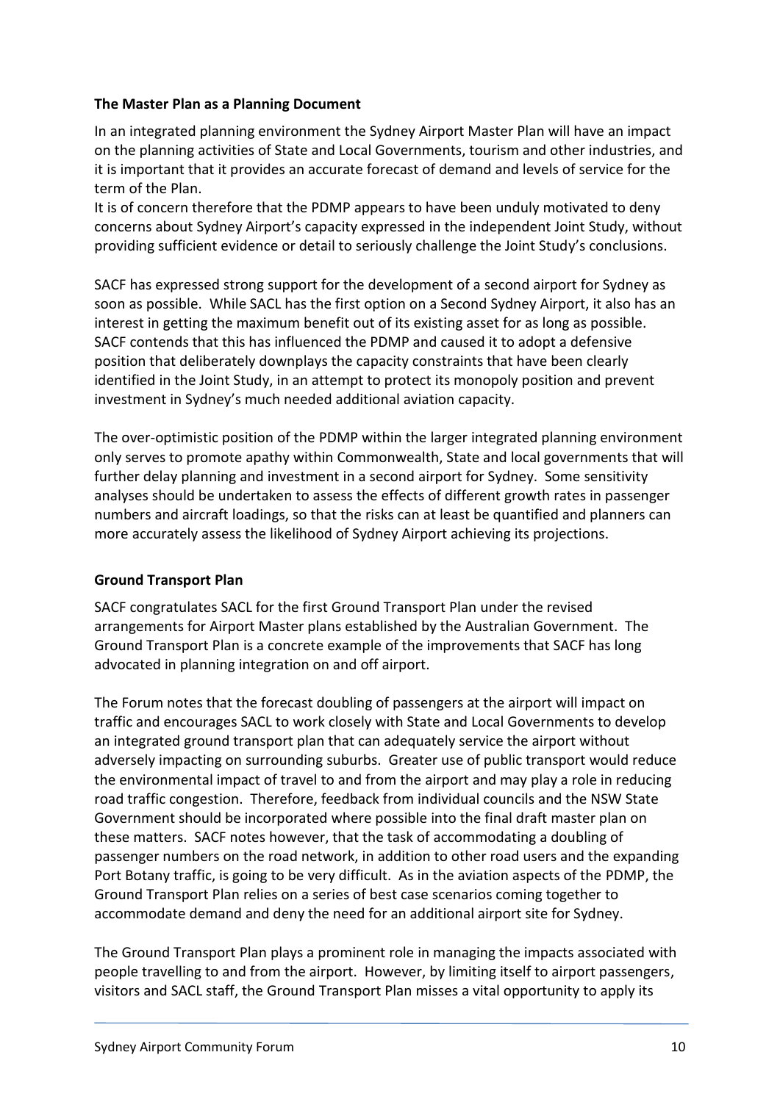### **The Master Plan as a Planning Document**

In an integrated planning environment the Sydney Airport Master Plan will have an impact on the planning activities of State and Local Governments, tourism and other industries, and it is important that it provides an accurate forecast of demand and levels of service for the term of the Plan.

It is of concern therefore that the PDMP appears to have been unduly motivated to deny concerns about Sydney Airport's capacity expressed in the independent Joint Study, without providing sufficient evidence or detail to seriously challenge the Joint Study's conclusions.

SACF has expressed strong support for the development of a second airport for Sydney as soon as possible. While SACL has the first option on a Second Sydney Airport, it also has an interest in getting the maximum benefit out of its existing asset for as long as possible. SACF contends that this has influenced the PDMP and caused it to adopt a defensive position that deliberately downplays the capacity constraints that have been clearly identified in the Joint Study, in an attempt to protect its monopoly position and prevent investment in Sydney's much needed additional aviation capacity.

The over-optimistic position of the PDMP within the larger integrated planning environment only serves to promote apathy within Commonwealth, State and local governments that will further delay planning and investment in a second airport for Sydney. Some sensitivity analyses should be undertaken to assess the effects of different growth rates in passenger numbers and aircraft loadings, so that the risks can at least be quantified and planners can more accurately assess the likelihood of Sydney Airport achieving its projections.

### **Ground Transport Plan**

SACF congratulates SACL for the first Ground Transport Plan under the revised arrangements for Airport Master plans established by the Australian Government. The Ground Transport Plan is a concrete example of the improvements that SACF has long advocated in planning integration on and off airport.

The Forum notes that the forecast doubling of passengers at the airport will impact on traffic and encourages SACL to work closely with State and Local Governments to develop an integrated ground transport plan that can adequately service the airport without adversely impacting on surrounding suburbs. Greater use of public transport would reduce the environmental impact of travel to and from the airport and may play a role in reducing road traffic congestion. Therefore, feedback from individual councils and the NSW State Government should be incorporated where possible into the final draft master plan on these matters. SACF notes however, that the task of accommodating a doubling of passenger numbers on the road network, in addition to other road users and the expanding Port Botany traffic, is going to be very difficult. As in the aviation aspects of the PDMP, the Ground Transport Plan relies on a series of best case scenarios coming together to accommodate demand and deny the need for an additional airport site for Sydney.

The Ground Transport Plan plays a prominent role in managing the impacts associated with people travelling to and from the airport. However, by limiting itself to airport passengers, visitors and SACL staff, the Ground Transport Plan misses a vital opportunity to apply its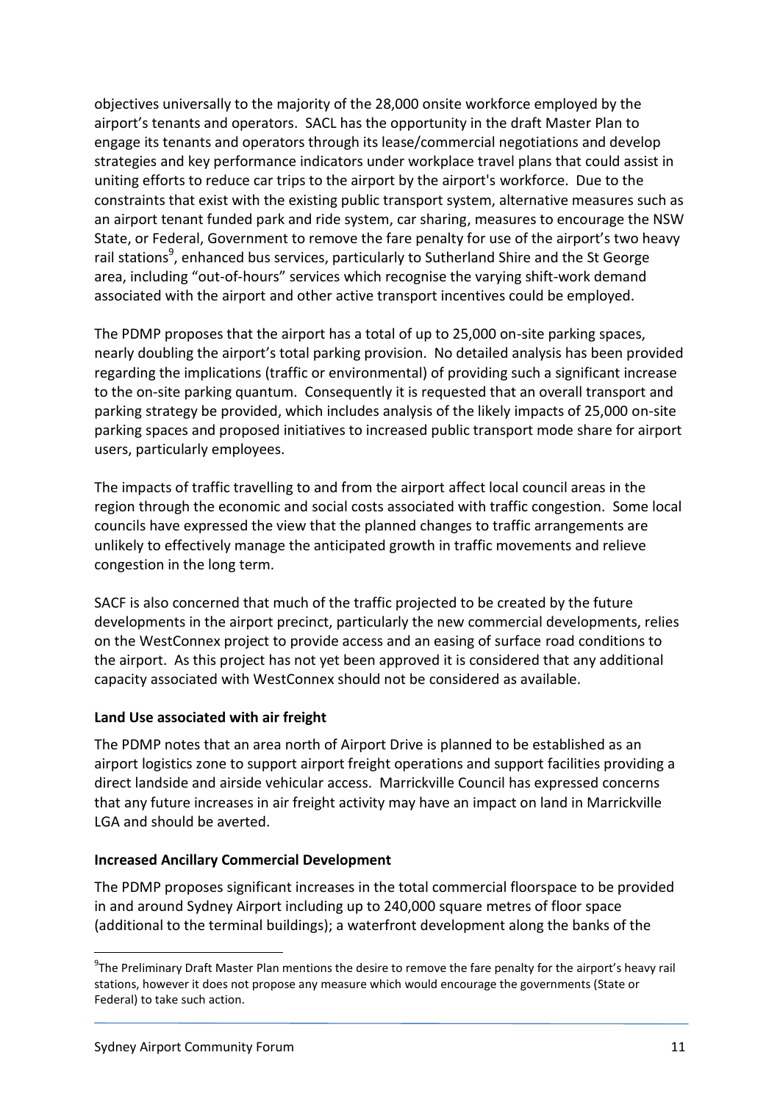objectives universally to the majority of the 28,000 onsite workforce employed by the airport's tenants and operators. SACL has the opportunity in the draft Master Plan to engage its tenants and operators through its lease/commercial negotiations and develop strategies and key performance indicators under workplace travel plans that could assist in uniting efforts to reduce car trips to the airport by the airport's workforce. Due to the constraints that exist with the existing public transport system, alternative measures such as an airport tenant funded park and ride system, car sharing, measures to encourage the NSW State, or Federal, Government to remove the fare penalty for use of the airport's two heavy rail stations<sup>9</sup>, enhanced bus services, particularly to Sutherland Shire and the St George area, including "out-of-hours" services which recognise the varying shift-work demand associated with the airport and other active transport incentives could be employed.

The PDMP proposes that the airport has a total of up to 25,000 on-site parking spaces, nearly doubling the airport's total parking provision. No detailed analysis has been provided regarding the implications (traffic or environmental) of providing such a significant increase to the on-site parking quantum. Consequently it is requested that an overall transport and parking strategy be provided, which includes analysis of the likely impacts of 25,000 on-site parking spaces and proposed initiatives to increased public transport mode share for airport users, particularly employees.

The impacts of traffic travelling to and from the airport affect local council areas in the region through the economic and social costs associated with traffic congestion. Some local councils have expressed the view that the planned changes to traffic arrangements are unlikely to effectively manage the anticipated growth in traffic movements and relieve congestion in the long term.

SACF is also concerned that much of the traffic projected to be created by the future developments in the airport precinct, particularly the new commercial developments, relies on the WestConnex project to provide access and an easing of surface road conditions to the airport. As this project has not yet been approved it is considered that any additional capacity associated with WestConnex should not be considered as available.

### **Land Use associated with air freight**

The PDMP notes that an area north of Airport Drive is planned to be established as an airport logistics zone to support airport freight operations and support facilities providing a direct landside and airside vehicular access. Marrickville Council has expressed concerns that any future increases in air freight activity may have an impact on land in Marrickville LGA and should be averted.

#### **Increased Ancillary Commercial Development**

The PDMP proposes significant increases in the total commercial floorspace to be provided in and around Sydney Airport including up to 240,000 square metres of floor space (additional to the terminal buildings); a waterfront development along the banks of the

**.** 

<sup>&</sup>lt;sup>9</sup>The Preliminary Draft Master Plan mentions the desire to remove the fare penalty for the airport's heavy rail stations, however it does not propose any measure which would encourage the governments (State or Federal) to take such action.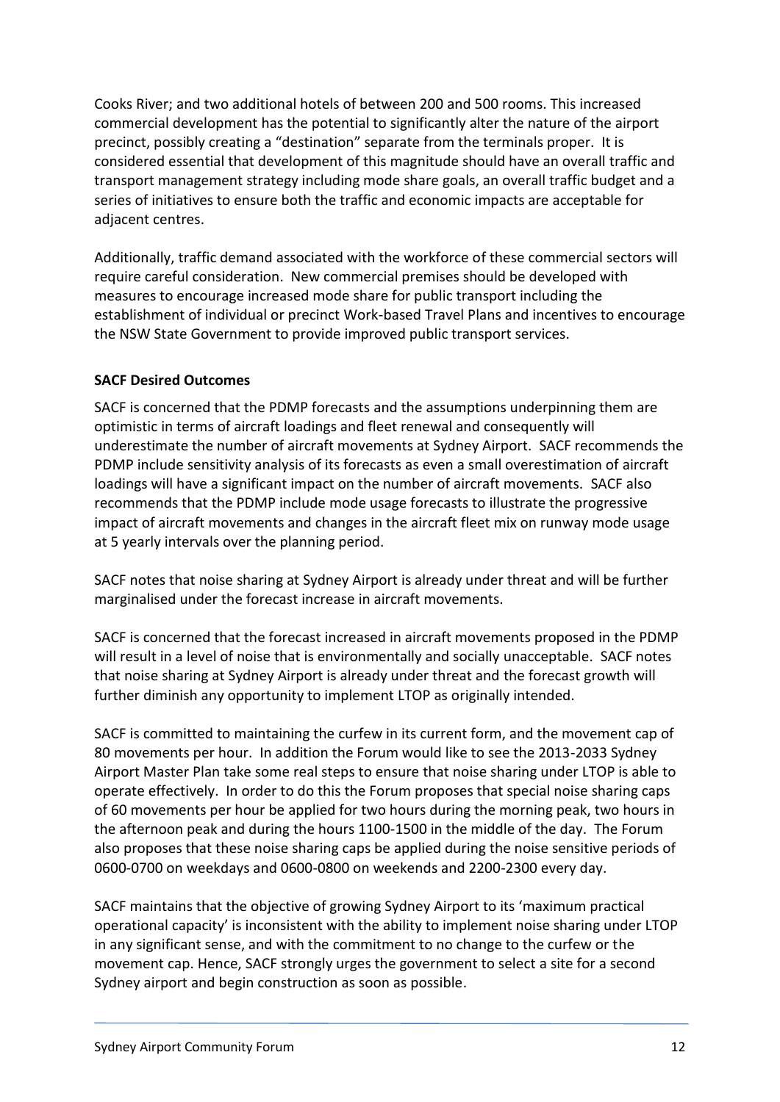Cooks River; and two additional hotels of between 200 and 500 rooms. This increased commercial development has the potential to significantly alter the nature of the airport precinct, possibly creating a "destination" separate from the terminals proper. It is considered essential that development of this magnitude should have an overall traffic and transport management strategy including mode share goals, an overall traffic budget and a series of initiatives to ensure both the traffic and economic impacts are acceptable for adiacent centres.

Additionally, traffic demand associated with the workforce of these commercial sectors will require careful consideration. New commercial premises should be developed with measures to encourage increased mode share for public transport including the establishment of individual or precinct Work-based Travel Plans and incentives to encourage the NSW State Government to provide improved public transport services.

### **SACF Desired Outcomes**

SACF is concerned that the PDMP forecasts and the assumptions underpinning them are optimistic in terms of aircraft loadings and fleet renewal and consequently will underestimate the number of aircraft movements at Sydney Airport. SACF recommends the PDMP include sensitivity analysis of its forecasts as even a small overestimation of aircraft loadings will have a significant impact on the number of aircraft movements. SACF also recommends that the PDMP include mode usage forecasts to illustrate the progressive impact of aircraft movements and changes in the aircraft fleet mix on runway mode usage at 5 yearly intervals over the planning period.

SACF notes that noise sharing at Sydney Airport is already under threat and will be further marginalised under the forecast increase in aircraft movements.

SACF is concerned that the forecast increased in aircraft movements proposed in the PDMP will result in a level of noise that is environmentally and socially unacceptable. SACF notes that noise sharing at Sydney Airport is already under threat and the forecast growth will further diminish any opportunity to implement LTOP as originally intended.

SACF is committed to maintaining the curfew in its current form, and the movement cap of 80 movements per hour. In addition the Forum would like to see the 2013-2033 Sydney Airport Master Plan take some real steps to ensure that noise sharing under LTOP is able to operate effectively. In order to do this the Forum proposes that special noise sharing caps of 60 movements per hour be applied for two hours during the morning peak, two hours in the afternoon peak and during the hours 1100-1500 in the middle of the day. The Forum also proposes that these noise sharing caps be applied during the noise sensitive periods of 0600-0700 on weekdays and 0600-0800 on weekends and 2200-2300 every day.

SACF maintains that the objective of growing Sydney Airport to its 'maximum practical operational capacity' is inconsistent with the ability to implement noise sharing under LTOP in any significant sense, and with the commitment to no change to the curfew or the movement cap. Hence, SACF strongly urges the government to select a site for a second Sydney airport and begin construction as soon as possible.